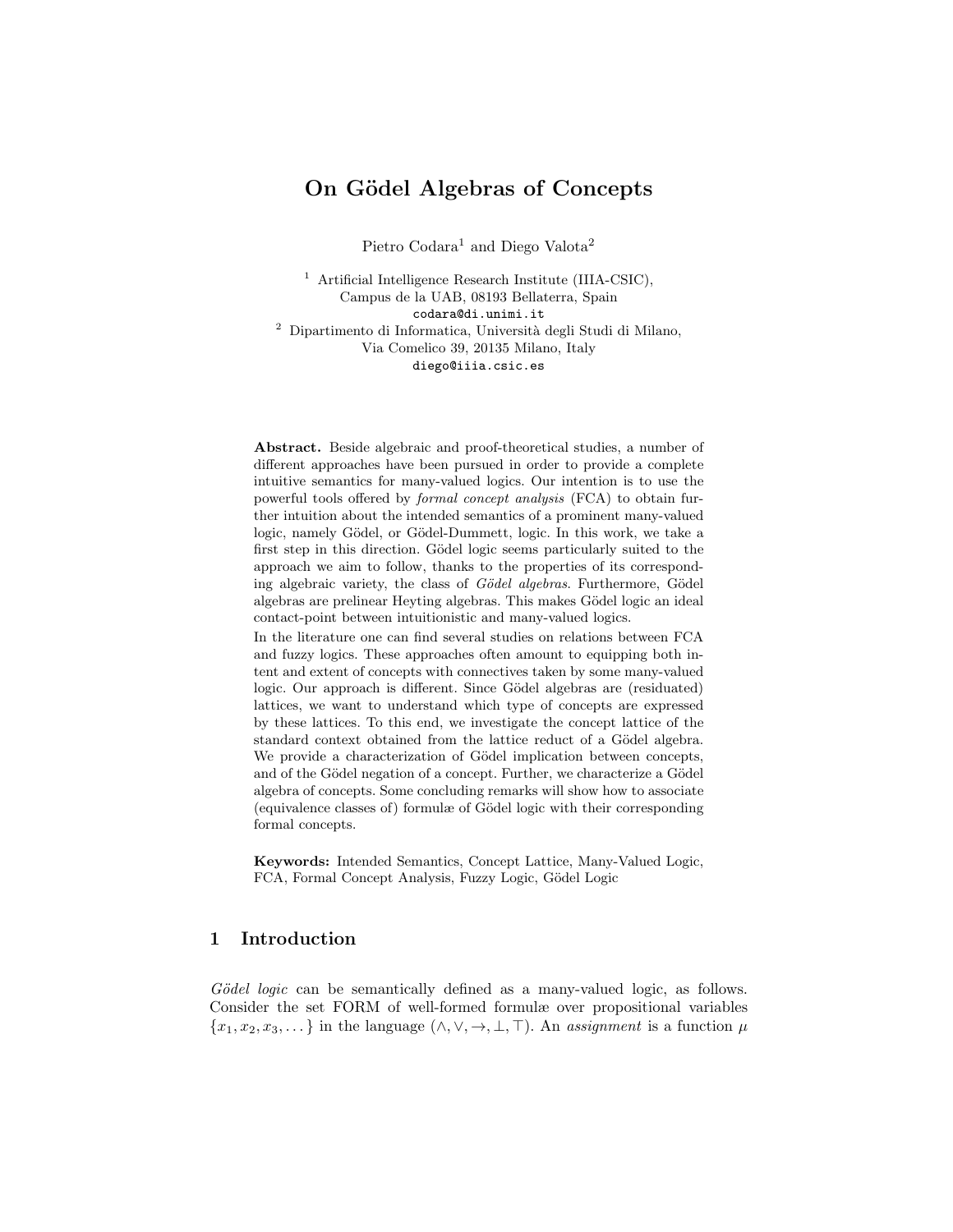# On Gödel Algebras of Concepts

Pietro Codara<sup>1</sup> and Diego Valota<sup>2</sup>

 $1$  Artificial Intelligence Research Institute (IIIA-CSIC), Campus de la UAB, 08193 Bellaterra, Spain codara@di.unimi.it  $^{\rm 2}$  Dipartimento di Informatica, Università degli Studi di Milano, Via Comelico 39, 20135 Milano, Italy diego@iiia.csic.es

Abstract. Beside algebraic and proof-theoretical studies, a number of different approaches have been pursued in order to provide a complete intuitive semantics for many-valued logics. Our intention is to use the powerful tools offered by formal concept analysis (FCA) to obtain further intuition about the intended semantics of a prominent many-valued logic, namely Gödel, or Gödel-Dummett, logic. In this work, we take a first step in this direction. Gödel logic seems particularly suited to the approach we aim to follow, thanks to the properties of its corresponding algebraic variety, the class of Gödel algebras. Furthermore, Gödel algebras are prelinear Heyting algebras. This makes Gödel logic an ideal contact-point between intuitionistic and many-valued logics.

In the literature one can find several studies on relations between FCA and fuzzy logics. These approaches often amount to equipping both intent and extent of concepts with connectives taken by some many-valued logic. Our approach is different. Since Gödel algebras are (residuated) lattices, we want to understand which type of concepts are expressed by these lattices. To this end, we investigate the concept lattice of the standard context obtained from the lattice reduct of a Gödel algebra. We provide a characterization of Gödel implication between concepts, and of the Gödel negation of a concept. Further, we characterize a Gödel algebra of concepts. Some concluding remarks will show how to associate (equivalence classes of) formulæ of Gödel logic with their corresponding formal concepts.

Keywords: Intended Semantics, Concept Lattice, Many-Valued Logic, FCA, Formal Concept Analysis, Fuzzy Logic, Gödel Logic

### 1 Introduction

Gödel logic can be semantically defined as a many-valued logic, as follows. Consider the set FORM of well-formed formulæ over propositional variables  ${x_1, x_2, x_3, \ldots}$  in the language  $(\wedge, \vee, \rightarrow, \perp, \top)$ . An assignment is a function  $\mu$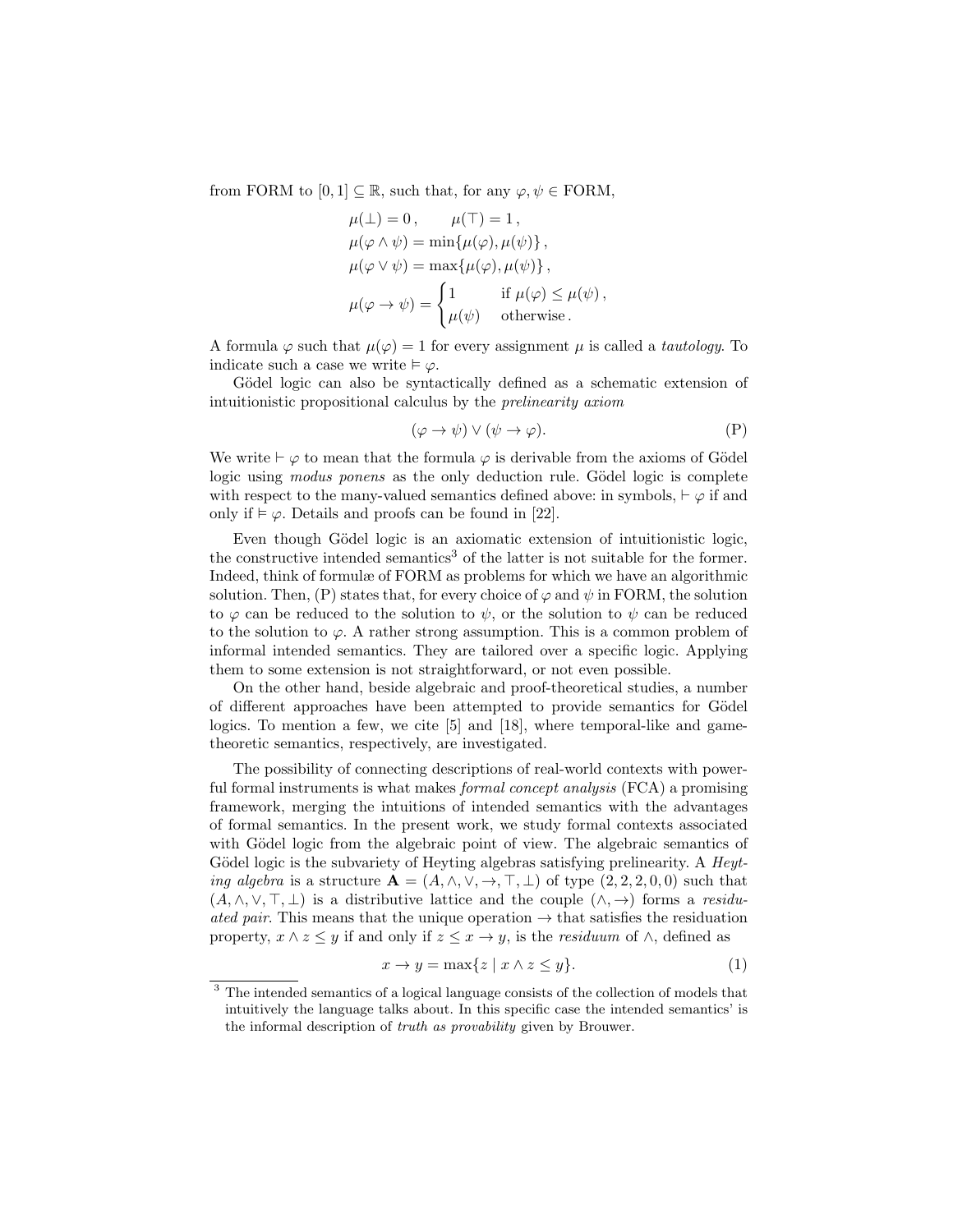from FORM to  $[0, 1] \subseteq \mathbb{R}$ , such that, for any  $\varphi, \psi \in \text{FORM}$ ,

$$
\mu(\bot) = 0, \qquad \mu(\top) = 1,
$$
  
\n
$$
\mu(\varphi \land \psi) = \min{\{\mu(\varphi), \mu(\psi)\}},
$$
  
\n
$$
\mu(\varphi \lor \psi) = \max{\{\mu(\varphi), \mu(\psi)\}},
$$
  
\n
$$
\mu(\varphi \to \psi) = \begin{cases} 1 & \text{if } \mu(\varphi) \le \mu(\psi), \\ \mu(\psi) & \text{otherwise.} \end{cases}
$$

A formula  $\varphi$  such that  $\mu(\varphi) = 1$  for every assignment  $\mu$  is called a *tautology*. To indicate such a case we write  $\models \varphi$ .

Gödel logic can also be syntactically defined as a schematic extension of intuitionistic propositional calculus by the prelinearity axiom

$$
(\varphi \to \psi) \lor (\psi \to \varphi). \tag{P}
$$

We write  $\vdash \varphi$  to mean that the formula  $\varphi$  is derivable from the axioms of Gödel logic using modus ponens as the only deduction rule. Gödel logic is complete with respect to the many-valued semantics defined above: in symbols,  $\vdash \varphi$  if and only if  $\models \varphi$ . Details and proofs can be found in [22].

Even though Gödel logic is an axiomatic extension of intuitionistic logic, the constructive intended semantics<sup>3</sup> of the latter is not suitable for the former. Indeed, think of formulæ of FORM as problems for which we have an algorithmic solution. Then,  $(P)$  states that, for every choice of  $\varphi$  and  $\psi$  in FORM, the solution to  $\varphi$  can be reduced to the solution to  $\psi$ , or the solution to  $\psi$  can be reduced to the solution to  $\varphi$ . A rather strong assumption. This is a common problem of informal intended semantics. They are tailored over a specific logic. Applying them to some extension is not straightforward, or not even possible.

On the other hand, beside algebraic and proof-theoretical studies, a number of different approaches have been attempted to provide semantics for Gödel logics. To mention a few, we cite [5] and [18], where temporal-like and gametheoretic semantics, respectively, are investigated.

The possibility of connecting descriptions of real-world contexts with powerful formal instruments is what makes formal concept analysis (FCA) a promising framework, merging the intuitions of intended semantics with the advantages of formal semantics. In the present work, we study formal contexts associated with Gödel logic from the algebraic point of view. The algebraic semantics of Gödel logic is the subvariety of Heyting algebras satisfying prelinearity. A *Heyt*ing algebra is a structure  $\mathbf{A} = (A, \wedge, \vee, \rightarrow, \top, \bot)$  of type  $(2, 2, 2, 0, 0)$  such that  $(A, \wedge, \vee, \top, \bot)$  is a distributive lattice and the couple  $(\wedge, \rightarrow)$  forms a residuated pair. This means that the unique operation  $\rightarrow$  that satisfies the residuation property,  $x \wedge z \leq y$  if and only if  $z \leq x \rightarrow y$ , is the *residuum* of  $\wedge$ , defined as

$$
x \to y = \max\{z \mid x \land z \le y\}.\tag{1}
$$

<sup>&</sup>lt;sup>3</sup> The intended semantics of a logical language consists of the collection of models that intuitively the language talks about. In this specific case the intended semantics' is the informal description of truth as provability given by Brouwer.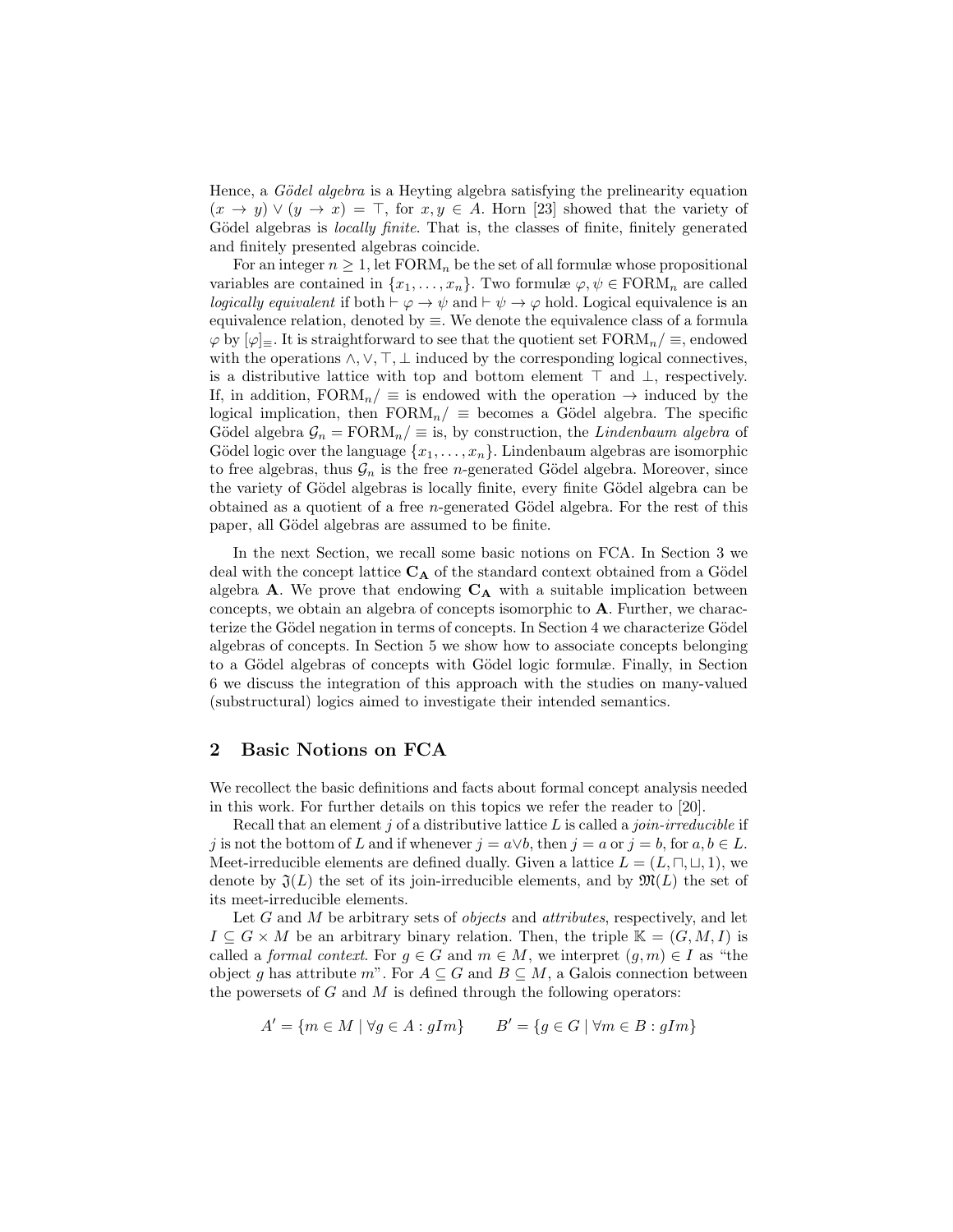Hence, a *Gödel algebra* is a Heyting algebra satisfying the prelinearity equation  $(x \to y) \vee (y \to x) = \top$ , for  $x, y \in A$ . Horn [23] showed that the variety of Gödel algebras is *locally finite*. That is, the classes of finite, finitely generated and finitely presented algebras coincide.

For an integer  $n \geq 1$ , let  $FORM_n$  be the set of all formulæ whose propositional variables are contained in  $\{x_1, \ldots, x_n\}$ . Two formulæ  $\varphi, \psi \in \text{FORM}_n$  are called logically equivalent if both  $\vdash \varphi \rightarrow \psi$  and  $\vdash \psi \rightarrow \varphi$  hold. Logical equivalence is an equivalence relation, denoted by ≡. We denote the equivalence class of a formula  $\varphi$  by  $[\varphi]_{\equiv}$ . It is straightforward to see that the quotient set  $\text{FORM}_n / \equiv$ , endowed with the operations  $\wedge, \vee, \top, \bot$  induced by the corresponding logical connectives, is a distributive lattice with top and bottom element  $\top$  and  $\bot$ , respectively. If, in addition,  $FORM_n \equiv$  is endowed with the operation  $\rightarrow$  induced by the logical implication, then  $FORM_n / \equiv$  becomes a Gödel algebra. The specific Gödel algebra  $\mathcal{G}_n = \text{FORM}_n / \equiv$  is, by construction, the *Lindenbaum algebra* of Gödel logic over the language  $\{x_1, \ldots, x_n\}$ . Lindenbaum algebras are isomorphic to free algebras, thus  $\mathcal{G}_n$  is the free *n*-generated Gödel algebra. Moreover, since the variety of Gödel algebras is locally finite, every finite Gödel algebra can be obtained as a quotient of a free *n*-generated Gödel algebra. For the rest of this paper, all Gödel algebras are assumed to be finite.

In the next Section, we recall some basic notions on FCA. In Section 3 we deal with the concept lattice  $C_A$  of the standard context obtained from a Gödel algebra  $A$ . We prove that endowing  $C_A$  with a suitable implication between concepts, we obtain an algebra of concepts isomorphic to A. Further, we characterize the Gödel negation in terms of concepts. In Section 4 we characterize Gödel algebras of concepts. In Section 5 we show how to associate concepts belonging to a Gödel algebras of concepts with Gödel logic formulæ. Finally, in Section 6 we discuss the integration of this approach with the studies on many-valued (substructural) logics aimed to investigate their intended semantics.

#### 2 Basic Notions on FCA

We recollect the basic definitions and facts about formal concept analysis needed in this work. For further details on this topics we refer the reader to [20].

Recall that an element j of a distributive lattice  $L$  is called a join-irreducible if j is not the bottom of L and if whenever  $j = a \lor b$ , then  $j = a$  or  $j = b$ , for  $a, b \in L$ . Meet-irreducible elements are defined dually. Given a lattice  $L = (L, \Pi, \sqcup, 1)$ , we denote by  $\mathfrak{J}(L)$  the set of its join-irreducible elements, and by  $\mathfrak{M}(L)$  the set of its meet-irreducible elements.

Let  $G$  and  $M$  be arbitrary sets of *objects* and *attributes*, respectively, and let  $I \subseteq G \times M$  be an arbitrary binary relation. Then, the triple  $\mathbb{K} = (G, M, I)$  is called a *formal context*. For  $g \in G$  and  $m \in M$ , we interpret  $(g, m) \in I$  as "the object g has attribute m". For  $A \subseteq G$  and  $B \subseteq M$ , a Galois connection between the powersets of  $G$  and  $M$  is defined through the following operators:

$$
A' = \{ m \in M \mid \forall g \in A : gIm \} \qquad B' = \{ g \in G \mid \forall m \in B : gIm \}
$$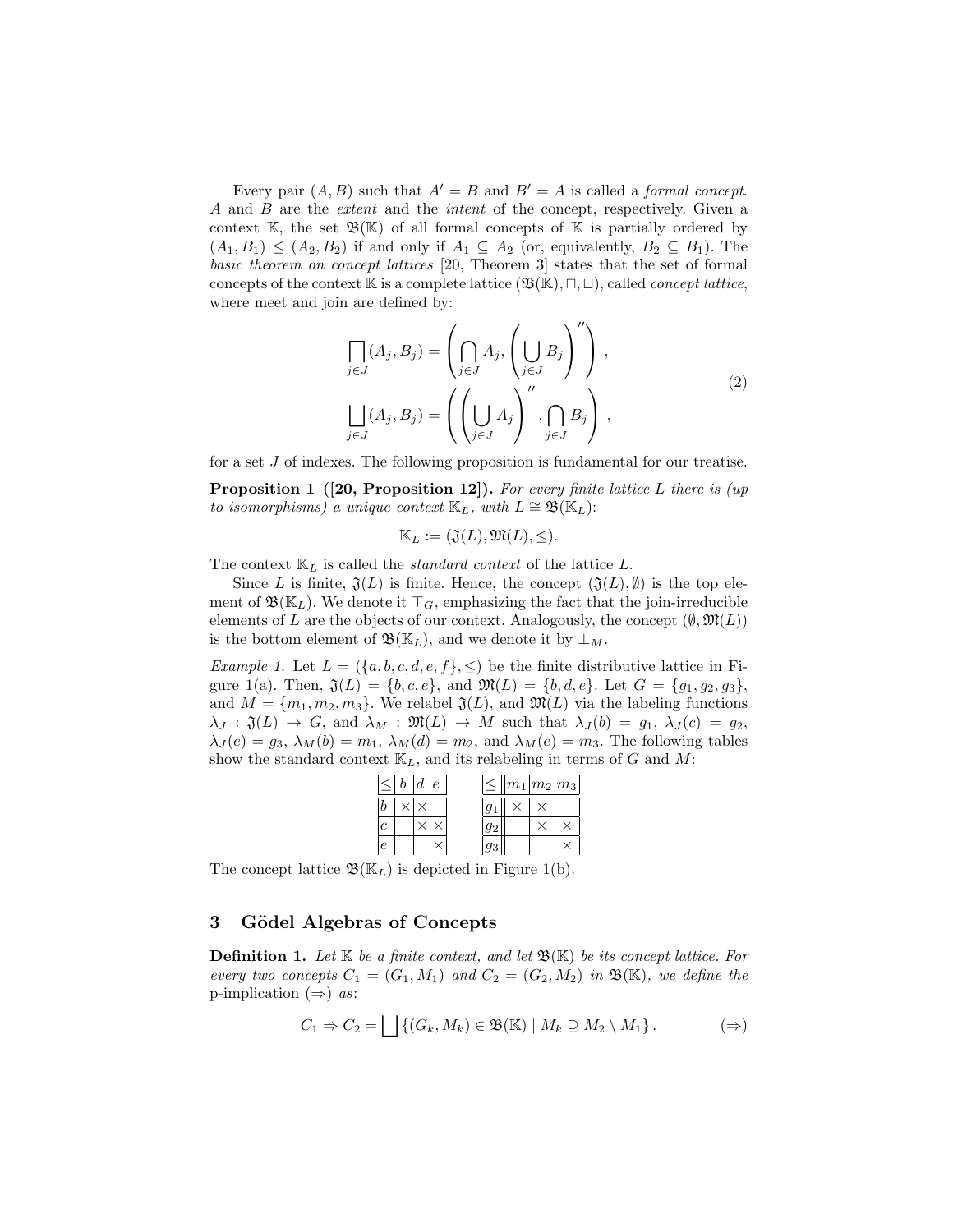Every pair  $(A, B)$  such that  $A' = B$  and  $B' = A$  is called a *formal concept*. A and B are the extent and the intent of the concept, respectively. Given a context K, the set  $\mathfrak{B}(\mathbb{K})$  of all formal concepts of K is partially ordered by  $(A_1, B_1) \leq (A_2, B_2)$  if and only if  $A_1 \subseteq A_2$  (or, equivalently,  $B_2 \subseteq B_1$ ). The basic theorem on concept lattices [20, Theorem 3] states that the set of formal concepts of the context K is a complete lattice  $(\mathfrak{B}(\mathbb{K}), \sqcap, \sqcup)$ , called *concept lattice*, where meet and join are defined by:

$$
\prod_{j \in J} (A_j, B_j) = \left( \bigcap_{j \in J} A_j, \left( \bigcup_{j \in J} B_j \right)^{n} \right),
$$
\n
$$
\bigcup_{j \in J} (A_j, B_j) = \left( \left( \bigcup_{j \in J} A_j \right)^{n}, \bigcap_{j \in J} B_j \right),
$$
\n(2)

for a set J of indexes. The following proposition is fundamental for our treatise.

**Proposition 1** ([20, Proposition 12]). For every finite lattice L there is (up to isomorphisms) a unique context  $\mathbb{K}_L$ , with  $L \cong \mathfrak{B}(\mathbb{K}_L)$ :

 $\mathbb{K}_L := (\mathfrak{J}(L), \mathfrak{M}(L), \leq).$ 

The context  $\mathbb{K}_L$  is called the *standard context* of the lattice  $L$ .

Since L is finite,  $\mathfrak{J}(L)$  is finite. Hence, the concept  $(\mathfrak{J}(L), \emptyset)$  is the top element of  $\mathfrak{B}(\mathbb{K}_L)$ . We denote it  $\mathcal{T}_G$ , emphasizing the fact that the join-irreducible elements of L are the objects of our context. Analogously, the concept  $(\emptyset, \mathfrak{M}(L))$ is the bottom element of  $\mathfrak{B}(\mathbb{K}_L)$ , and we denote it by  $\perp_M$ .

Example 1. Let  $L = (\{a, b, c, d, e, f\}, \leq)$  be the finite distributive lattice in Figure 1(a). Then,  $\mathfrak{J}(L) = \{b, c, e\}$ , and  $\mathfrak{M}(L) = \{b, d, e\}$ . Let  $G = \{g_1, g_2, g_3\}$ , and  $M = \{m_1, m_2, m_3\}$ . We relabel  $\mathfrak{J}(L)$ , and  $\mathfrak{M}(L)$  via the labeling functions  $\lambda_J : \mathfrak{J}(L) \to G$ , and  $\lambda_M : \mathfrak{M}(L) \to M$  such that  $\lambda_J(b) = g_1, \lambda_J(c) = g_2$ ,  $\lambda_J(e) = g_3, \lambda_M(b) = m_1, \lambda_M(d) = m_2$ , and  $\lambda_M(e) = m_3$ . The following tables show the standard context  $\mathbb{K}_L$ , and its relabeling in terms of G and M:

| $\leq$   b  d  e |  |  | $\leq  m_1 m_2 m_3 $ |  |
|------------------|--|--|----------------------|--|
|                  |  |  |                      |  |
|                  |  |  |                      |  |
| IP.              |  |  |                      |  |

The concept lattice  $\mathfrak{B}(\mathbb{K}_L)$  is depicted in Figure 1(b).

#### 3 Gödel Algebras of Concepts

**Definition 1.** Let  $K$  be a finite context, and let  $\mathfrak{B}(K)$  be its concept lattice. For every two concepts  $C_1 = (G_1, M_1)$  and  $C_2 = (G_2, M_2)$  in  $\mathfrak{B}(\mathbb{K})$ , we define the p-implication  $(\Rightarrow)$  as:

$$
C_1 \Rightarrow C_2 = \bigsqcup \{ (G_k, M_k) \in \mathfrak{B}(\mathbb{K}) \mid M_k \supseteq M_2 \setminus M_1 \}.
$$
  $(\Rightarrow)$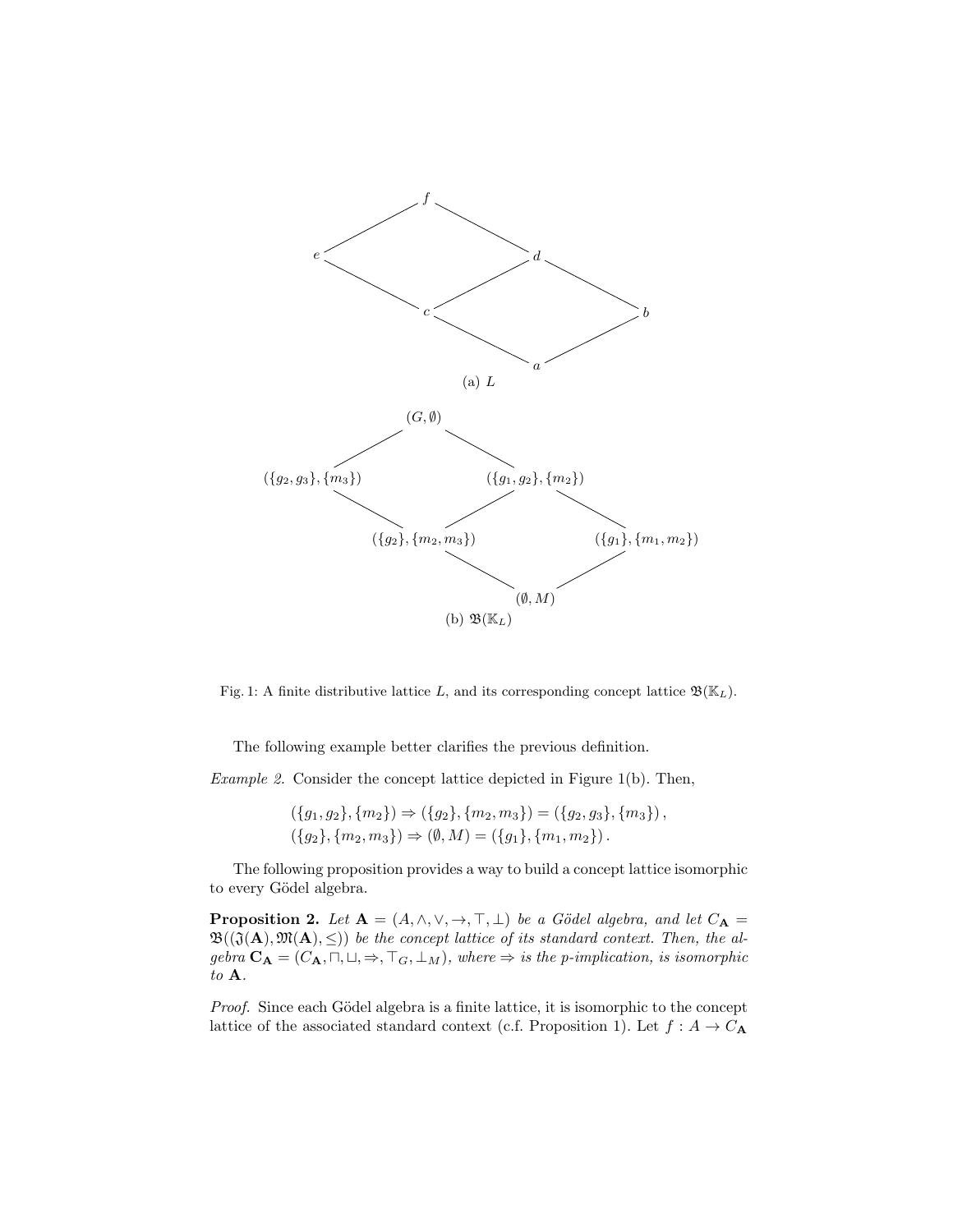

Fig. 1: A finite distributive lattice L, and its corresponding concept lattice  $\mathfrak{B}(\mathbb{K}_L)$ .

The following example better clarifies the previous definition.

Example 2. Consider the concept lattice depicted in Figure 1(b). Then,

$$
(\{g_1, g_2\}, \{m_2\}) \Rightarrow (\{g_2\}, \{m_2, m_3\}) = (\{g_2, g_3\}, \{m_3\}),(\{g_2\}, \{m_2, m_3\}) \Rightarrow (\emptyset, M) = (\{g_1\}, \{m_1, m_2\}).
$$

The following proposition provides a way to build a concept lattice isomorphic to every Gödel algebra.

**Proposition 2.** Let  $A = (A, \wedge, \vee, \rightarrow, \top, \bot)$  be a Gödel algebra, and let  $C_A =$  $\mathfrak{B}((\mathfrak{J}(A),\mathfrak{M}(A),\leq))$  be the concept lattice of its standard context. Then, the algebra  $\mathbf{C}_\mathbf{A} = (C_{\mathbf{A}}, \Box, \Box, \Rightarrow, \top_G, \bot_M)$ , where  $\Rightarrow$  is the p-implication, is isomorphic to A.

Proof. Since each Gödel algebra is a finite lattice, it is isomorphic to the concept lattice of the associated standard context (c.f. Proposition 1). Let  $f: A \rightarrow C_A$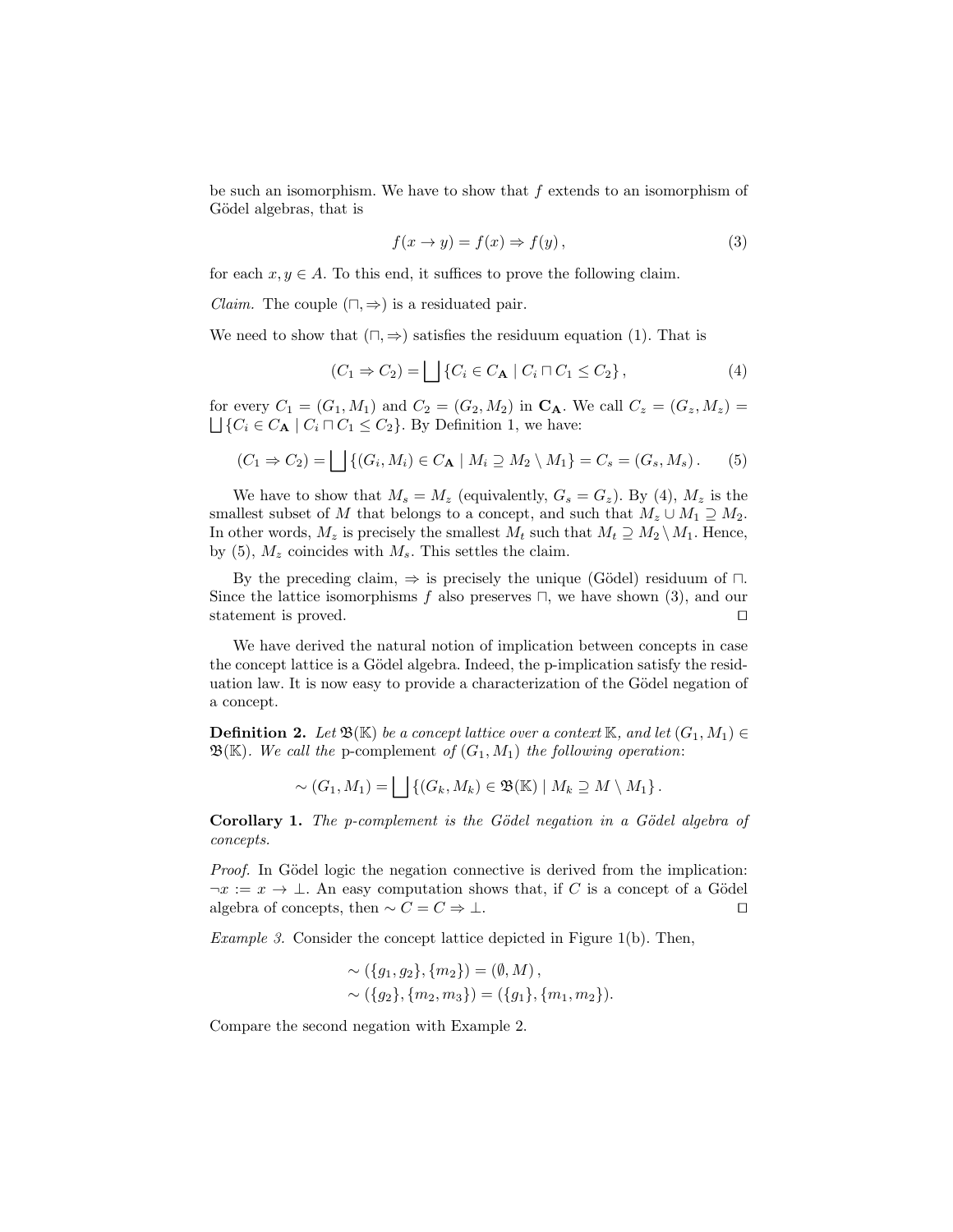be such an isomorphism. We have to show that  $f$  extends to an isomorphism of Gödel algebras, that is

$$
f(x \to y) = f(x) \Rightarrow f(y), \tag{3}
$$

for each  $x, y \in A$ . To this end, it suffices to prove the following claim.

*Claim.* The couple  $(\square, \Rightarrow)$  is a residuated pair.

We need to show that  $(\square, \Rightarrow)$  satisfies the residuum equation (1). That is

$$
(C_1 \Rightarrow C_2) = \bigsqcup \{ C_i \in C_{\mathbf{A}} \mid C_i \sqcap C_1 \le C_2 \},\tag{4}
$$

for every  $C_1 = (G_1, M_1)$  and  $C_2 = (G_2, M_2)$  in  $C_A$ . We call  $C_z = (G_z, M_z)$  $\bigcup \{C_i \in C_{\mathbf{A}} \mid C_i \sqcap C_1 \leq C_2\}$ . By Definition 1, we have:

$$
(C_1 \Rightarrow C_2) = \bigsqcup \{ (G_i, M_i) \in C_{\mathbf{A}} \mid M_i \supseteq M_2 \setminus M_1 \} = C_s = (G_s, M_s). \tag{5}
$$

We have to show that  $M_s = M_z$  (equivalently,  $G_s = G_z$ ). By (4),  $M_z$  is the smallest subset of M that belongs to a concept, and such that  $M_z \cup M_1 \supseteq M_2$ . In other words,  $M_z$  is precisely the smallest  $M_t$  such that  $M_t \supseteq M_2 \setminus M_1$ . Hence, by (5),  $M_z$  coincides with  $M_s$ . This settles the claim.

By the preceding claim,  $\Rightarrow$  is precisely the unique (Gödel) residuum of  $\Box$ . Since the lattice isomorphisms f also preserves  $\Box$ , we have shown (3), and our statement is proved.  $\Box$ 

We have derived the natural notion of implication between concepts in case the concept lattice is a Gödel algebra. Indeed, the p-implication satisfy the residuation law. It is now easy to provide a characterization of the Gödel negation of a concept.

**Definition 2.** Let  $\mathfrak{B}(\mathbb{K})$  be a concept lattice over a context  $\mathbb{K}$ , and let  $(G_1, M_1) \in$  $\mathfrak{B}(\mathbb{K})$ . We call the p-complement of  $(G_1, M_1)$  the following operation:

$$
\sim (G_1, M_1) = \bigsqcup \left\{ (G_k, M_k) \in \mathfrak{B}(\mathbb{K}) \mid M_k \supseteq M \setminus M_1 \right\}.
$$

Corollary 1. The p-complement is the Gödel negation in a Gödel algebra of concepts.

*Proof.* In Gödel logic the negation connective is derived from the implication:  $\neg x := x \to \bot$ . An easy computation shows that, if C is a concept of a Gödel algebra of concepts, then  $\sim C = C \Rightarrow \bot$ .

Example 3. Consider the concept lattice depicted in Figure 1(b). Then,

$$
\sim (\{g_1, g_2\}, \{m_2\}) = (\emptyset, M), \sim (\{g_2\}, \{m_2, m_3\}) = (\{g_1\}, \{m_1, m_2\}).
$$

Compare the second negation with Example 2.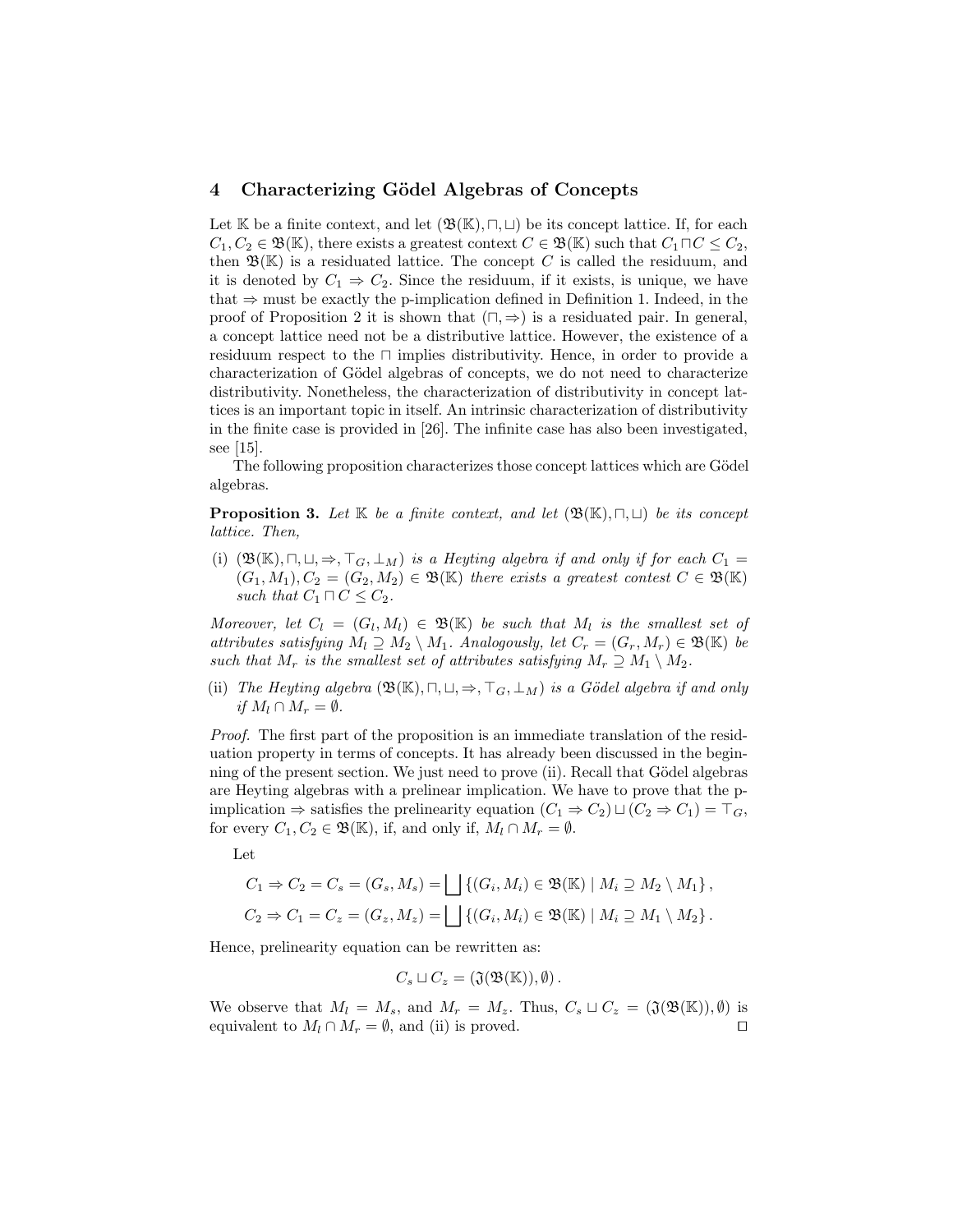#### 4 Characterizing Gödel Algebras of Concepts

Let K be a finite context, and let  $(\mathfrak{B}(\mathbb{K}), \sqcap, \sqcup)$  be its concept lattice. If, for each  $C_1, C_2 \in \mathfrak{B}(\mathbb{K})$ , there exists a greatest context  $C \in \mathfrak{B}(\mathbb{K})$  such that  $C_1 \sqcap C \leq C_2$ , then  $\mathfrak{B}(\mathbb{K})$  is a residuated lattice. The concept C is called the residuum, and it is denoted by  $C_1 \Rightarrow C_2$ . Since the residuum, if it exists, is unique, we have that  $\Rightarrow$  must be exactly the p-implication defined in Definition 1. Indeed, in the proof of Proposition 2 it is shown that  $(\square, \Rightarrow)$  is a residuated pair. In general, a concept lattice need not be a distributive lattice. However, the existence of a residuum respect to the  $\Box$  implies distributivity. Hence, in order to provide a characterization of Gödel algebras of concepts, we do not need to characterize distributivity. Nonetheless, the characterization of distributivity in concept lattices is an important topic in itself. An intrinsic characterization of distributivity in the finite case is provided in [26]. The infinite case has also been investigated, see [15].

The following proposition characterizes those concept lattices which are Gödel algebras.

**Proposition 3.** Let  $\mathbb{K}$  be a finite context, and let  $(\mathfrak{B}(\mathbb{K}), \sqcap, \sqcup)$  be its concept lattice. Then,

(i)  $(\mathfrak{B}(\mathbb{K}), \sqcap, \sqcup, \Rightarrow, \top_G, \bot_M)$  is a Heyting algebra if and only if for each  $C_1 =$  $(G_1, M_1), C_2 = (G_2, M_2) \in \mathfrak{B}(\mathbb{K})$  there exists a greatest contest  $C \in \mathfrak{B}(\mathbb{K})$ such that  $C_1 \sqcap C \leq C_2$ .

Moreover, let  $C_l = (G_l, M_l) \in \mathfrak{B}(\mathbb{K})$  be such that  $M_l$  is the smallest set of attributes satisfying  $M_l \supseteq M_2 \setminus M_1$ . Analogously, let  $C_r = (G_r, M_r) \in \mathfrak{B}(\mathbb{K})$  be such that  $M_r$  is the smallest set of attributes satisfying  $M_r \supseteq M_1 \setminus M_2$ .

(ii) The Heyting algebra  $(\mathfrak{B}(\mathbb{K}), \sqcap, \sqcup, \Rightarrow, \top_G, \perp_M)$  is a Gödel algebra if and only if  $M_l \cap M_r = \emptyset$ .

Proof. The first part of the proposition is an immediate translation of the residuation property in terms of concepts. It has already been discussed in the beginning of the present section. We just need to prove (ii). Recall that Gödel algebras are Heyting algebras with a prelinear implication. We have to prove that the pimplication  $\Rightarrow$  satisfies the prelinearity equation  $(C_1 \Rightarrow C_2) \sqcup (C_2 \Rightarrow C_1) = \top_G$ , for every  $C_1, C_2 \in \mathfrak{B}(\mathbb{K})$ , if, and only if,  $M_l \cap M_r = \emptyset$ .

Let

$$
C_1 \Rightarrow C_2 = C_s = (G_s, M_s) = \bigsqcup \{ (G_i, M_i) \in \mathfrak{B}(\mathbb{K}) \mid M_i \supseteq M_2 \setminus M_1 \},
$$
  

$$
C_2 \Rightarrow C_1 = C_z = (G_z, M_z) = \bigsqcup \{ (G_i, M_i) \in \mathfrak{B}(\mathbb{K}) \mid M_i \supseteq M_1 \setminus M_2 \}.
$$

Hence, prelinearity equation can be rewritten as:

$$
C_s \sqcup C_z = (\mathfrak{J}(\mathfrak{B}(\mathbb{K})), \emptyset).
$$

We observe that  $M_l = M_s$ , and  $M_r = M_z$ . Thus,  $C_s \sqcup C_z = (\mathfrak{J}(\mathfrak{B}(\mathbb{K})), \emptyset)$  is equivalent to  $M_l \cap M_r = \emptyset$ , and (ii) is proved.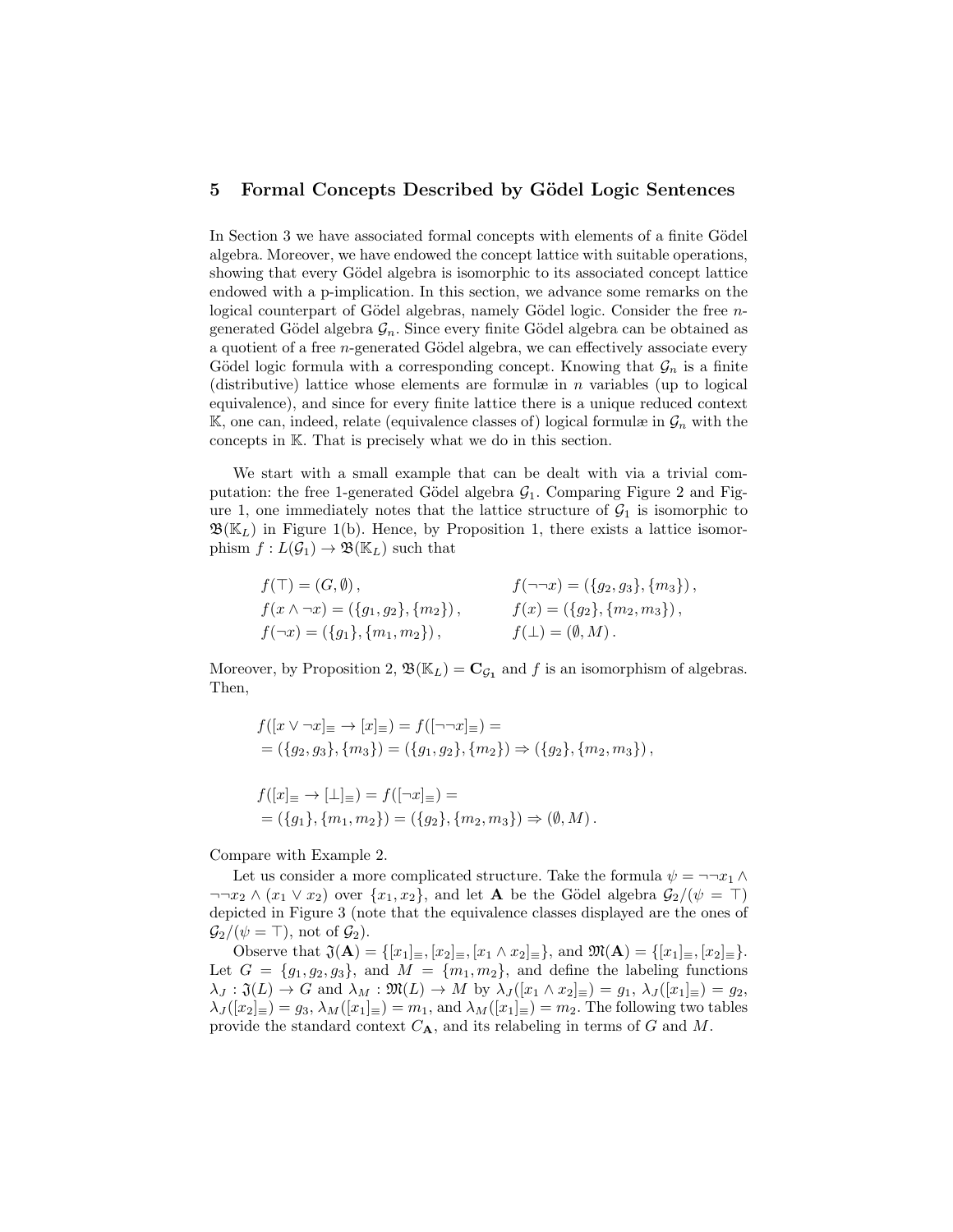#### 5 Formal Concepts Described by Gödel Logic Sentences

In Section 3 we have associated formal concepts with elements of a finite Gödel algebra. Moreover, we have endowed the concept lattice with suitable operations, showing that every Gödel algebra is isomorphic to its associated concept lattice endowed with a p-implication. In this section, we advance some remarks on the logical counterpart of Gödel algebras, namely Gödel logic. Consider the free  $n$ generated Gödel algebra  $\mathcal{G}_n$ . Since every finite Gödel algebra can be obtained as a quotient of a free  $n$ -generated Gödel algebra, we can effectively associate every Gödel logic formula with a corresponding concept. Knowing that  $\mathcal{G}_n$  is a finite (distributive) lattice whose elements are formulæ in  $n$  variables (up to logical equivalence), and since for every finite lattice there is a unique reduced context K, one can, indeed, relate (equivalence classes of) logical formulæ in  $\mathcal{G}_n$  with the concepts in K. That is precisely what we do in this section.

We start with a small example that can be dealt with via a trivial computation: the free 1-generated Gödel algebra  $G_1$ . Comparing Figure 2 and Figure 1, one immediately notes that the lattice structure of  $G_1$  is isomorphic to  $\mathfrak{B}(\mathbb{K}_L)$  in Figure 1(b). Hence, by Proposition 1, there exists a lattice isomorphism  $f: L(\mathcal{G}_1) \to \mathfrak{B}(\mathbb{K}_L)$  such that

$$
f(\top) = (G, \emptyset), \qquad f(\neg\neg x) = (\{g_2, g_3\}, \{m_3\}),
$$
  
\n
$$
f(x \land \neg x) = (\{g_1, g_2\}, \{m_2\}), \qquad f(x) = (\{g_2\}, \{m_2, m_3\}),
$$
  
\n
$$
f(\neg x) = (\{g_1\}, \{m_1, m_2\}), \qquad f(\bot) = (\emptyset, M).
$$

Moreover, by Proposition 2,  $\mathfrak{B}(\mathbb{K}_L) = \mathbb{C}_{\mathcal{G}_1}$  and f is an isomorphism of algebras. Then,

$$
f([x \lor \neg x]_{\equiv} \to [x]_{\equiv}) = f([ \neg \neg x]_{\equiv}) =
$$
  
= (\{g\_2, g\_3\}, \{m\_3\}) = (\{g\_1, g\_2\}, \{m\_2\}) \Rightarrow (\{g\_2\}, \{m\_2, m\_3\}),  

$$
f([x]_{\equiv} \to [\perp]_{\equiv}) = f([ \neg x]_{\equiv}) =
$$
  
= (\{g\_1\}, \{m\_1, m\_2\}) = (\{g\_2\}, \{m\_2, m\_3\}) \Rightarrow (\emptyset, M).

Compare with Example 2.

Let us consider a more complicated structure. Take the formula  $\psi = \neg\neg x_1 \wedge$  $\neg\neg x_2 \wedge (x_1 \vee x_2)$  over  $\{x_1, x_2\}$ , and let **A** be the Gödel algebra  $\mathcal{G}_2/(\psi = \top)$ depicted in Figure 3 (note that the equivalence classes displayed are the ones of  $\mathcal{G}_2/(\psi = \top)$ , not of  $\mathcal{G}_2$ ).

Observe that  $\mathfrak{J}(\mathbf{A}) = \{ [x_1]_{\equiv}, [x_2]_{\equiv}, [x_1 \wedge x_2]_{\equiv} \}$ , and  $\mathfrak{M}(\mathbf{A}) = \{ [x_1]_{\equiv}, [x_2]_{\equiv} \}$ . Let  $G = \{g_1, g_2, g_3\}$ , and  $M = \{m_1, m_2\}$ , and define the labeling functions  $\lambda_J : \mathfrak{J}(L) \to G$  and  $\lambda_M : \mathfrak{M}(L) \to M$  by  $\lambda_J([x_1 \wedge x_2]_{\equiv}) = g_1, \lambda_J([x_1]_{\equiv}) = g_2,$  $\lambda_J([x_2]_\equiv) = g_3, \lambda_M([x_1]_\equiv) = m_1$ , and  $\lambda_M([x_1]_\equiv) = m_2$ . The following two tables provide the standard context  $C_{\mathbf{A}}$ , and its relabeling in terms of G and M.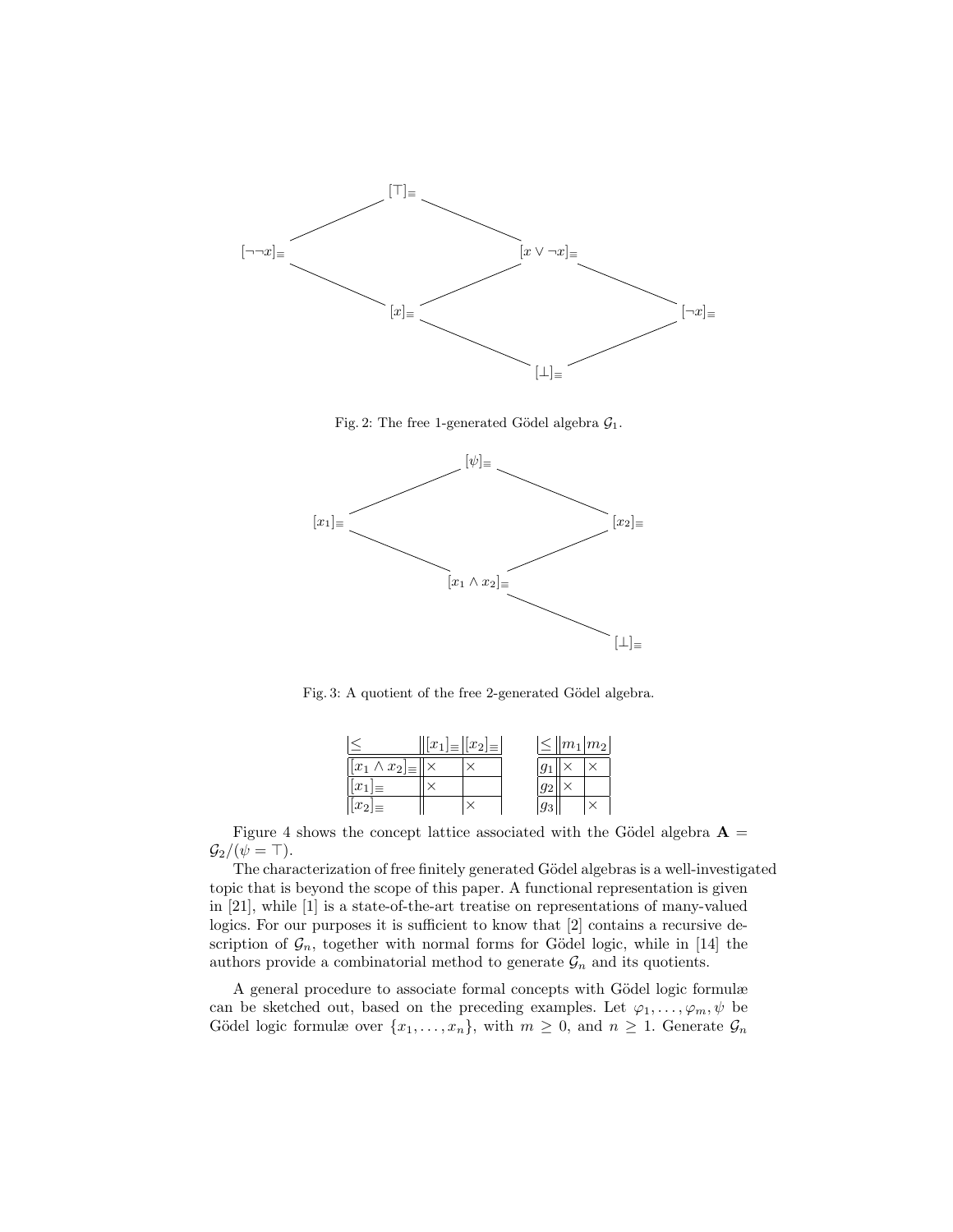

Fig. 2: The free 1-generated Gödel algebra  $\mathcal{G}_1$ .



Fig. 3: A quotient of the free 2-generated Gödel algebra.

|                                    | $x_1$ = $x_2$ = $x_3$ |  | $\leq  m_1 m_2 $ |  |
|------------------------------------|-----------------------|--|------------------|--|
| $x_1 \wedge x_2 = \ $              |                       |  |                  |  |
| $\left\lfloor x_1 \right\rfloor =$ |                       |  |                  |  |
| $ x_2 $                            |                       |  |                  |  |

Figure 4 shows the concept lattice associated with the Gödel algebra  $\mathbf{A} =$  $\mathcal{G}_2/(\psi = \top).$ 

The characterization of free finitely generated Gödel algebras is a well-investigated topic that is beyond the scope of this paper. A functional representation is given in [21], while [1] is a state-of-the-art treatise on representations of many-valued logics. For our purposes it is sufficient to know that [2] contains a recursive description of  $\mathcal{G}_n$ , together with normal forms for Gödel logic, while in [14] the authors provide a combinatorial method to generate  $\mathcal{G}_n$  and its quotients.

A general procedure to associate formal concepts with Gödel logic formulæ can be sketched out, based on the preceding examples. Let  $\varphi_1, \ldots, \varphi_m, \psi$  be Gödel logic formulæ over  $\{x_1, \ldots, x_n\}$ , with  $m \geq 0$ , and  $n \geq 1$ . Generate  $\mathcal{G}_n$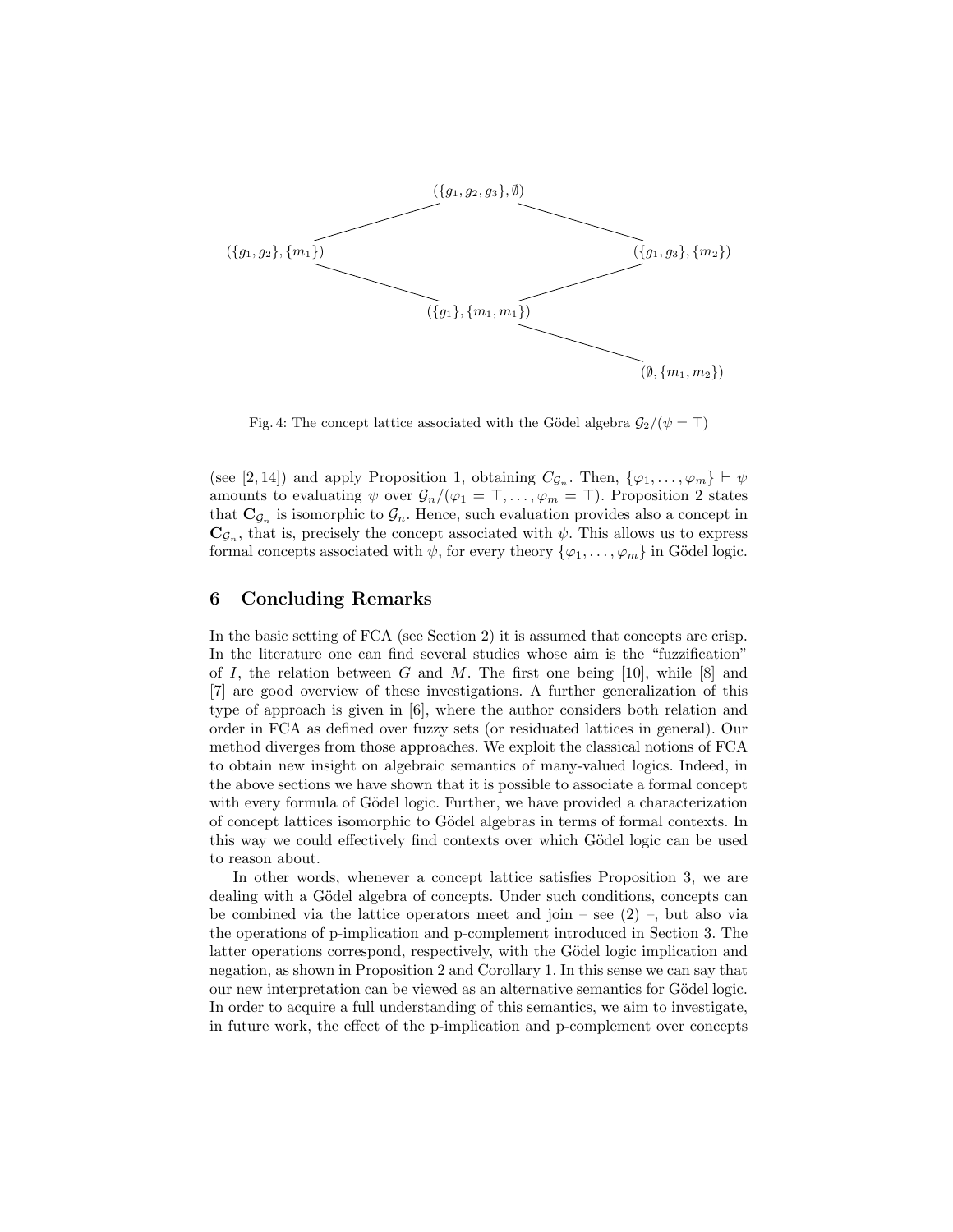

Fig. 4: The concept lattice associated with the Gödel algebra  $\mathcal{G}_2/(\psi = \top)$ 

(see [2, 14]) and apply Proposition 1, obtaining  $C_{\mathcal{G}_n}$ . Then,  $\{\varphi_1, \ldots, \varphi_m\} \vdash \psi$ amounts to evaluating  $\psi$  over  $\mathcal{G}_n/(\varphi_1 = \top, \ldots, \varphi_m = \top)$ . Proposition 2 states that  $\mathbf{C}_{\mathcal{G}_n}$  is isomorphic to  $\mathcal{G}_n$ . Hence, such evaluation provides also a concept in  $\mathbf{C}_{\mathcal{G}_n}$ , that is, precisely the concept associated with  $\psi$ . This allows us to express formal concepts associated with  $\psi$ , for every theory  $\{\varphi_1, \ldots, \varphi_m\}$  in Gödel logic.

#### 6 Concluding Remarks

In the basic setting of FCA (see Section 2) it is assumed that concepts are crisp. In the literature one can find several studies whose aim is the "fuzzification" of I, the relation between G and M. The first one being [10], while [8] and [7] are good overview of these investigations. A further generalization of this type of approach is given in [6], where the author considers both relation and order in FCA as defined over fuzzy sets (or residuated lattices in general). Our method diverges from those approaches. We exploit the classical notions of FCA to obtain new insight on algebraic semantics of many-valued logics. Indeed, in the above sections we have shown that it is possible to associate a formal concept with every formula of Gödel logic. Further, we have provided a characterization of concept lattices isomorphic to G¨odel algebras in terms of formal contexts. In this way we could effectively find contexts over which Gödel logic can be used to reason about.

In other words, whenever a concept lattice satisfies Proposition 3, we are dealing with a Gödel algebra of concepts. Under such conditions, concepts can be combined via the lattice operators meet and join – see  $(2)$  –, but also via the operations of p-implication and p-complement introduced in Section 3. The latter operations correspond, respectively, with the Gödel logic implication and negation, as shown in Proposition 2 and Corollary 1. In this sense we can say that our new interpretation can be viewed as an alternative semantics for Gödel logic. In order to acquire a full understanding of this semantics, we aim to investigate, in future work, the effect of the p-implication and p-complement over concepts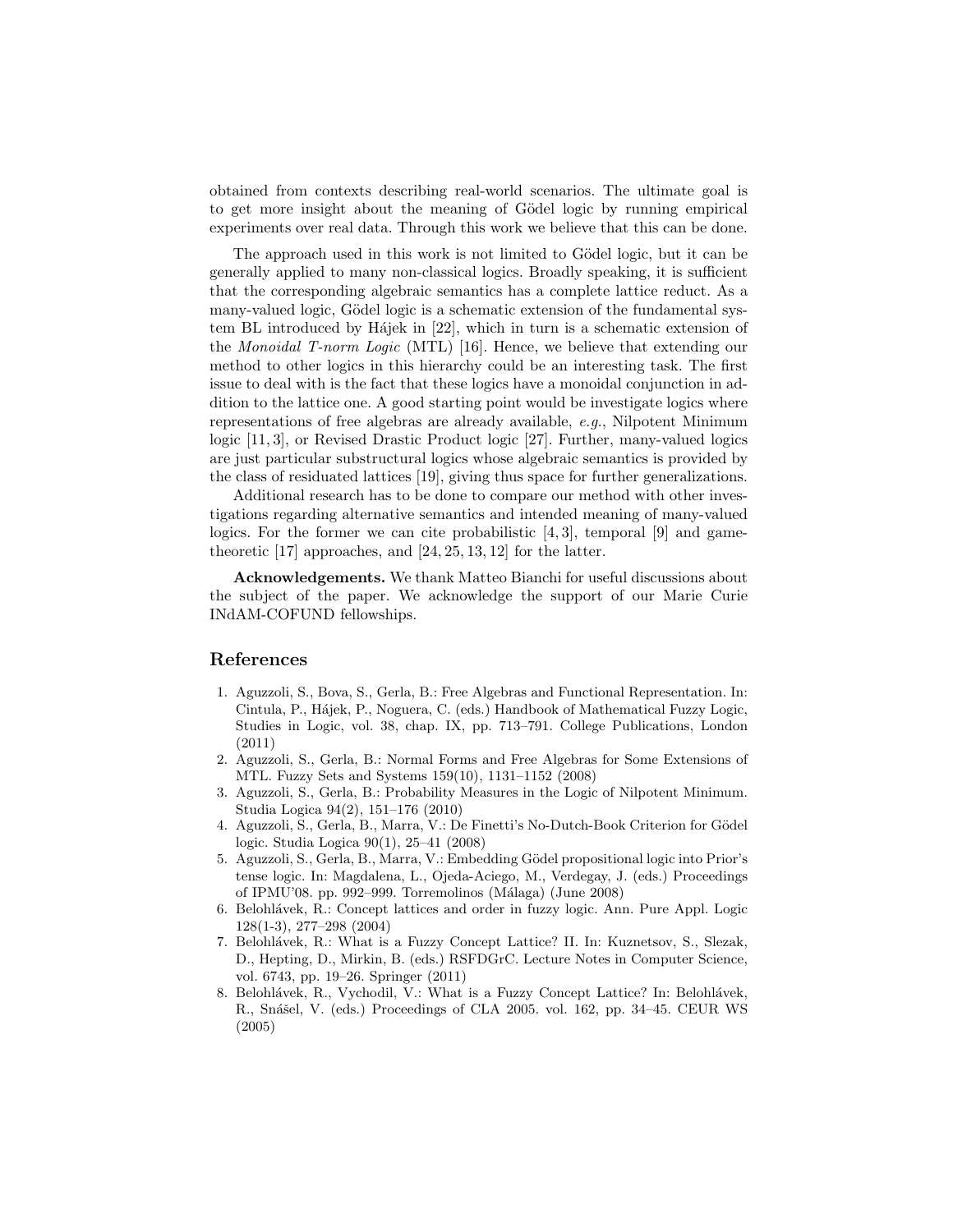obtained from contexts describing real-world scenarios. The ultimate goal is to get more insight about the meaning of Gödel logic by running empirical experiments over real data. Through this work we believe that this can be done.

The approach used in this work is not limited to Gödel logic, but it can be generally applied to many non-classical logics. Broadly speaking, it is sufficient that the corresponding algebraic semantics has a complete lattice reduct. As a many-valued logic, Gödel logic is a schematic extension of the fundamental system BL introduced by Hájek in  $[22]$ , which in turn is a schematic extension of the Monoidal T-norm Logic (MTL) [16]. Hence, we believe that extending our method to other logics in this hierarchy could be an interesting task. The first issue to deal with is the fact that these logics have a monoidal conjunction in addition to the lattice one. A good starting point would be investigate logics where representations of free algebras are already available, e.g., Nilpotent Minimum logic [11, 3], or Revised Drastic Product logic [27]. Further, many-valued logics are just particular substructural logics whose algebraic semantics is provided by the class of residuated lattices [19], giving thus space for further generalizations.

Additional research has to be done to compare our method with other investigations regarding alternative semantics and intended meaning of many-valued logics. For the former we can cite probabilistic  $[4, 3]$ , temporal  $[9]$  and gametheoretic [17] approaches, and [24, 25, 13, 12] for the latter.

Acknowledgements. We thank Matteo Bianchi for useful discussions about the subject of the paper. We acknowledge the support of our Marie Curie INdAM-COFUND fellowships.

## References

- 1. Aguzzoli, S., Bova, S., Gerla, B.: Free Algebras and Functional Representation. In: Cintula, P., H´ajek, P., Noguera, C. (eds.) Handbook of Mathematical Fuzzy Logic, Studies in Logic, vol. 38, chap. IX, pp. 713–791. College Publications, London (2011)
- 2. Aguzzoli, S., Gerla, B.: Normal Forms and Free Algebras for Some Extensions of MTL. Fuzzy Sets and Systems 159(10), 1131–1152 (2008)
- 3. Aguzzoli, S., Gerla, B.: Probability Measures in the Logic of Nilpotent Minimum. Studia Logica 94(2), 151–176 (2010)
- 4. Aguzzoli, S., Gerla, B., Marra, V.: De Finetti's No-Dutch-Book Criterion for Gödel logic. Studia Logica 90(1), 25–41 (2008)
- 5. Aguzzoli, S., Gerla, B., Marra, V.: Embedding Gödel propositional logic into Prior's tense logic. In: Magdalena, L., Ojeda-Aciego, M., Verdegay, J. (eds.) Proceedings of IPMU'08. pp. 992–999. Torremolinos (Málaga) (June 2008)
- 6. Belohlávek, R.: Concept lattices and order in fuzzy logic. Ann. Pure Appl. Logic 128(1-3), 277–298 (2004)
- 7. Belohlávek, R.: What is a Fuzzy Concept Lattice? II. In: Kuznetsov, S., Slezak, D., Hepting, D., Mirkin, B. (eds.) RSFDGrC. Lecture Notes in Computer Science, vol. 6743, pp. 19–26. Springer (2011)
- 8. Belohlávek, R., Vychodil, V.: What is a Fuzzy Concept Lattice? In: Belohlávek, R., Snášel, V. (eds.) Proceedings of CLA 2005. vol. 162, pp. 34–45. CEUR WS (2005)